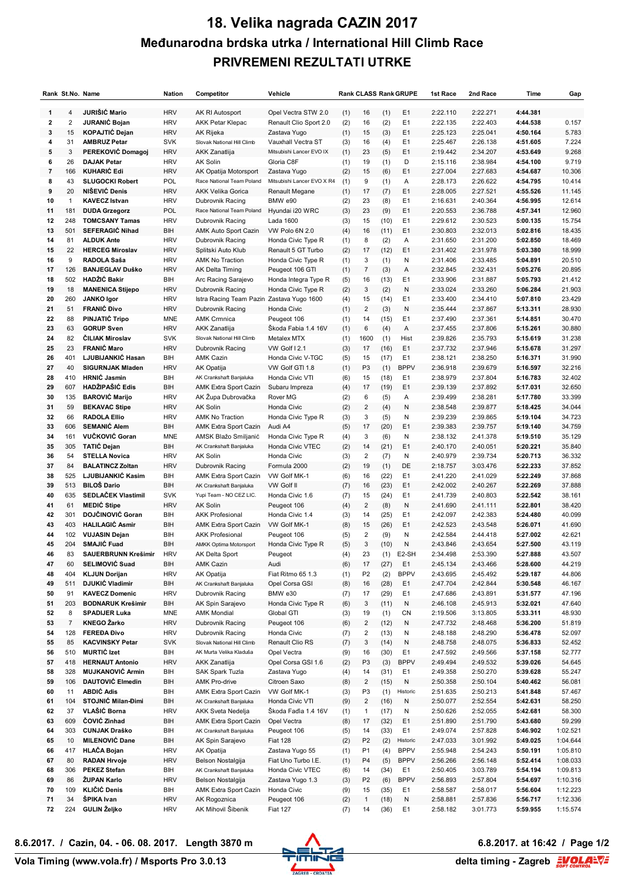## **18. Velika nagrada CAZIN 2017 Međunarodna brdska utrka / International Hill Climb Race PRIVREMENI REZULTATI UTRKE**

|    | Rank St.No. Name |                           | <b>Nation</b> | Competitor                 | Vehicle                    |     |                         |      | <b>Rank CLASS Rank GRUPE</b> | 1st Race | 2nd Race | Time     | Gap      |
|----|------------------|---------------------------|---------------|----------------------------|----------------------------|-----|-------------------------|------|------------------------------|----------|----------|----------|----------|
| 1  | 4                | <b>JURIŠIĆ Mario</b>      | <b>HRV</b>    | AK RI Autosport            | Opel Vectra STW 2.0        | (1) | 16                      | (1)  | E <sub>1</sub>               | 2:22.110 | 2:22.271 | 4:44.381 |          |
| 2  | $\overline{2}$   | <b>JURANIC Bojan</b>      | <b>HRV</b>    | <b>AKK Petar Klepac</b>    | Renault Clio Sport 2.0     | (2) | 16                      | (2)  | E <sub>1</sub>               | 2:22.135 | 2:22.403 | 4:44.538 | 0.157    |
| 3  | 15               | <b>KOPAJTIĆ Dejan</b>     | <b>HRV</b>    | AK Rijeka                  | Zastava Yugo               | (1) | 15                      | (3)  | E <sub>1</sub>               | 2:25.123 | 2:25.041 | 4:50.164 | 5.783    |
| 4  | 31               | <b>AMBRUZ Petar</b>       | <b>SVK</b>    | Slovak National Hill Climb | Vauxhall Vectra ST         | (3) | 16                      | (4)  | E <sub>1</sub>               | 2:25.467 | 2:26.138 | 4:51.605 | 7.224    |
| 5  | 3                | PEREKOVIĆ Domagoj         | <b>HRV</b>    | AKK Zanatlija              | Mitsubishi Lancer EVO IX   | (1) | 23                      | (5)  | E <sub>1</sub>               | 2:19.442 | 2:34.207 | 4:53.649 | 9.268    |
| 6  | 26               | <b>DAJAK Petar</b>        | <b>HRV</b>    | AK Solin                   | Gloria C8F                 | (1) | 19                      | (1)  | D                            | 2:15.116 | 2:38.984 | 4:54.100 | 9.719    |
| 7  | 166              | <b>KUHARIĆ Edi</b>        | <b>HRV</b>    | AK Opatija Motorsport      | Zastava Yugo               | (2) | 15                      | (6)  | E1                           | 2:27.004 | 2:27.683 | 4:54.687 | 10.306   |
| 8  | 43               | <b>SLUGOCKI Robert</b>    | POL           | Race National Team Poland  | Mitsubishi Lancer EVO X R4 | (1) | 9                       |      | Α                            | 2:28.173 | 2:26.622 | 4:54.795 | 10.414   |
|    |                  |                           |               |                            |                            |     |                         | (1)  |                              |          |          |          |          |
| 9  | 20               | NIŠEVIĆ Denis             | <b>HRV</b>    | <b>AKK Velika Gorica</b>   | Renault Megane             | (1) | 17                      | (7)  | E <sub>1</sub>               | 2:28.005 | 2:27.521 | 4:55.526 | 11.145   |
| 10 | $\mathbf{1}$     | <b>KAVECZ Istvan</b>      | <b>HRV</b>    | Dubrovnik Racing           | BMW e90                    | (2) | 23                      | (8)  | E <sub>1</sub>               | 2:16.631 | 2:40.364 | 4:56.995 | 12.614   |
| 11 | 181              | <b>DUDA Grzegorz</b>      | <b>POL</b>    | Race National Team Poland  | Hyundai i20 WRC            | (3) | 23                      | (9)  | E <sub>1</sub>               | 2:20.553 | 2:36.788 | 4:57.341 | 12.960   |
| 12 | 248              | <b>TOMCSANY Tamas</b>     | <b>HRV</b>    | Dubrovnik Racing           | Lada 1600                  | (3) | 15                      | (10) | E <sub>1</sub>               | 2:29.612 | 2:30.523 | 5:00.135 | 15.754   |
| 13 | 501              | <b>SEFERAGIC Nihad</b>    | BIH           | AMK Auto Sport Cazin       | VW Polo 6N 2.0             | (4) | 16                      | (11) | E <sub>1</sub>               | 2:30.803 | 2:32.013 | 5:02.816 | 18.435   |
| 14 | 81               | <b>ALDUK Ante</b>         | <b>HRV</b>    | Dubrovnik Racing           | Honda Civic Type R         | (1) | 8                       | (2)  | Α                            | 2:31.650 | 2:31.200 | 5:02.850 | 18.469   |
| 15 | 22               | <b>HERCEG Miroslav</b>    | <b>HRV</b>    | Splitski Auto Klub         | Renault 5 GT Turbo         | (2) | 17                      | (12) | E1                           | 2:31.402 | 2:31.978 | 5:03.380 | 18.999   |
| 16 | 9                | RADOLA Saša               | <b>HRV</b>    | <b>AMK No Traction</b>     | Honda Civic Type R         | (1) | 3                       | (1)  | N                            | 2:31.406 | 2:33.485 | 5:04.891 | 20.510   |
| 17 | 126              | <b>BANJEGLAV Duško</b>    | <b>HRV</b>    | AK Delta Timing            | Peugeot 106 GTI            | (1) | $\overline{7}$          | (3)  | A                            | 2:32.845 | 2:32.431 | 5:05.276 | 20.895   |
| 18 | 502              | HADŽIĆ Bakir              | BIH           | Arc Racing Sarajevo        | Honda Integra Type R       | (5) | 16                      | (13) | E <sub>1</sub>               | 2:33.906 | 2:31.887 | 5:05.793 | 21.412   |
| 19 | 18               | <b>MANENICA Stijepo</b>   | <b>HRV</b>    | Dubrovnik Racing           | Honda Civic Type R         | (2) | 3                       | (2)  | N                            | 2:33.024 | 2:33.260 | 5:06.284 | 21.903   |
| 20 | 260              | <b>JANKO Igor</b>         | <b>HRV</b>    | Istra Racing Team Pazin    | Zastava Yugo 1600          | (4) | 15                      | (14) | E <sub>1</sub>               | 2:33.400 | 2:34.410 | 5:07.810 | 23.429   |
| 21 | 51               | <b>FRANIĆ Đivo</b>        | <b>HRV</b>    | Dubrovnik Racing           | Honda Civic                | (1) | $\overline{c}$          | (3)  | N                            | 2:35.444 | 2:37.867 | 5:13.311 | 28.930   |
| 22 | 88               | PINJATIĆ Tripo            | <b>MNE</b>    | <b>AMK Crmnica</b>         | Peugeot 106                | (1) | 14                      | (15) | E <sub>1</sub>               | 2:37.490 | 2:37.361 | 5:14.851 | 30.470   |
| 23 | 63               | <b>GORUP Sven</b>         | <b>HRV</b>    | AKK Zanatlija              | Skoda Fabia 1.4 16V        | (1) | 6                       | (4)  | Α                            | 2:37.455 | 2:37.806 | 5:15.261 | 30.880   |
| 24 | 82               | <b>CILIAK Miroslav</b>    | <b>SVK</b>    | Slovak National Hill Climb | Metalex MTX                | (1) | 1600                    | (1)  | Hist                         | 2:39.826 | 2:35.793 | 5:15.619 | 31.238   |
| 25 | 23               | <b>FRANIC Maro</b>        | <b>HRV</b>    | Dubrovnik Racing           | VW Golf I 2.1              | (3) | 17                      | (16) | E <sub>1</sub>               | 2:37.732 | 2:37.946 | 5:15.678 | 31.297   |
| 26 | 401              | LJUBIJANKIĆ Hasan         | BIH           | <b>AMK Cazin</b>           | Honda Civic V-TGC          | (5) | 15                      | (17) | E <sub>1</sub>               | 2:38.121 | 2:38.250 | 5:16.371 | 31.990   |
| 27 | 40               | <b>SIGURNJAK Mladen</b>   | <b>HRV</b>    | AK Opatija                 | VW Golf GTI 1.8            | (1) | P <sub>3</sub>          | (1)  | <b>BPPV</b>                  | 2:36.918 | 2:39.679 | 5:16.597 | 32.216   |
| 28 | 410              | <b>HRNIC Jasmin</b>       | BIH           | AK Crankshaft Banjaluka    | Honda Civic VTI            | (6) | 15                      |      | E <sub>1</sub>               | 2:38.979 | 2:37.804 | 5:16.783 | 32.402   |
|    |                  | HADŽIPAŠIĆ Edis           |               |                            |                            |     |                         | (18) |                              |          |          |          |          |
| 29 | 607              |                           | BIH           | AMK Extra Sport Cazin      | Subaru Impreza             | (4) | 17                      | (19) | E <sub>1</sub>               | 2:39.139 | 2:37.892 | 5:17.031 | 32.650   |
| 30 | 135              | <b>BAROVIĆ Marijo</b>     | <b>HRV</b>    | AK Župa Dubrovačka         | Rover MG                   | (2) | 6                       | (5)  | Α                            | 2:39.499 | 2:38.281 | 5:17.780 | 33.399   |
| 31 | 59               | <b>BEKAVAC Stipe</b>      | <b>HRV</b>    | <b>AK Solin</b>            | Honda Civic                | (2) | $\overline{\mathbf{c}}$ | (4)  | N                            | 2:38.548 | 2:39.877 | 5:18.425 | 34.044   |
| 32 | 66               | <b>RADOLA Ellio</b>       | <b>HRV</b>    | <b>AMK No Traction</b>     | Honda Civic Type R         | (3) | 3                       | (5)  | N                            | 2:39.239 | 2:39.865 | 5:19.104 | 34.723   |
| 33 | 606              | <b>SEMANIC Alem</b>       | BIH           | AMK Extra Sport Cazin      | Audi A4                    | (5) | 17                      | (20) | E <sub>1</sub>               | 2:39.383 | 2:39.757 | 5:19.140 | 34.759   |
| 34 | 161              | VUČKOVIĆ Goran            | <b>MNE</b>    | AMSK Blažo Smiljanić       | Honda Civic Type R         | (4) | 3                       | (6)  | N                            | 2:38.132 | 2:41.378 | 5:19.510 | 35.129   |
| 35 | 305              | <b>TATIC Dejan</b>        | <b>BIH</b>    | AK Crankshaft Banjaluka    | Honda Civic VTEC           | (2) | 14                      | (21) | E <sub>1</sub>               | 2:40.170 | 2:40.051 | 5:20.221 | 35.840   |
| 36 | 54               | <b>STELLA Novica</b>      | <b>HRV</b>    | AK Solin                   | Honda Civic                | (3) | 2                       | (7)  | Ν                            | 2:40.979 | 2:39.734 | 5:20.713 | 36.332   |
| 37 | 84               | <b>BALATINCZ Zoltan</b>   | <b>HRV</b>    | Dubrovnik Racing           | Formula 2000               | (2) | 19                      | (1)  | DE                           | 2:18.757 | 3:03.476 | 5:22.233 | 37.852   |
| 38 | 525              | LJUBIJANKIĆ Kasim         | BIH           | AMK Extra Sport Cazin      | VW Golf MK-1               | (6) | 16                      | (22) | E <sub>1</sub>               | 2:41.220 | 2:41.029 | 5:22.249 | 37.868   |
| 39 | 513              | <b>BILOŠ Dario</b>        | <b>BIH</b>    | AK Crankshaft Banjaluka    | VW Golf II                 | (7) | 16                      | (23) | E <sub>1</sub>               | 2:42.002 | 2:40.267 | 5:22.269 | 37.888   |
| 40 | 635              | SEDLAČEK Vlastimil        | <b>SVK</b>    | Yupi Team - NO CEZ LIC.    | Honda Civic 1.6            | (7) | 15                      | (24) | E <sub>1</sub>               | 2:41.739 | 2:40.803 | 5:22.542 | 38.161   |
| 41 | 61               | <b>MEDIC Stipe</b>        | <b>HRV</b>    | <b>AK Solin</b>            | Peugeot 106                | (4) | $\overline{c}$          | (8)  | N                            | 2:41.690 | 2:41.111 | 5:22.801 | 38.420   |
| 42 | 301              | DOJČINOVIĆ Goran          | BIH           | <b>AKK Profesional</b>     | Honda Civic 1.4            | (3) | 14                      | (25) | E <sub>1</sub>               | 2:42.097 | 2:42.383 | 5:24.480 | 40.099   |
| 43 | 403              | <b>HALILAGIĆ Asmir</b>    | BIH           | AMK Extra Sport Cazin      | VW Golf MK-1               | (8) | 15                      | (26) | E1                           | 2:42.523 | 2:43.548 | 5:26.071 | 41.690   |
| 44 | 102              | <b>VUJASIN Dejan</b>      | BIH           | <b>AKK Profesional</b>     | Peugeot 106                | (5) | $\overline{\mathbf{c}}$ | (9)  | N                            | 2:42.584 | 2:44.418 | 5:27.002 | 42.621   |
| 45 | 204              | SMAJIĆ Fuad               | <b>BIH</b>    | AMKK Optima Motorsport     | Honda Civic Type R         | (5) | 3                       | (10) | N                            | 2:43.846 | 2:43.654 | 5:27.500 | 43.119   |
| 46 | 83               | SAUERBRUNN Krešimir       |               |                            |                            |     |                         |      | E2-SH                        | 2:34.498 |          |          |          |
|    |                  |                           | <b>HRV</b>    | AK Delta Sport             | Peugeot                    | (4) | 23                      | (1)  |                              |          | 2:53.390 | 5:27.888 | 43.507   |
| 47 | 60               | <b>SELIMOVIĆ Suad</b>     | BIH           | <b>AMK Cazin</b>           | Audi                       | (6) | 17                      | (27) | E <sub>1</sub>               | 2:45.134 | 2:43.466 | 5:28.600 | 44.219   |
| 48 | 404              | <b>KLJUN Dorijan</b>      | <b>HRV</b>    | AK Opatija                 | Fiat Ritmo 65 1.3          | (1) | P <sub>2</sub>          | (2)  | <b>BPPV</b>                  | 2:43.695 | 2:45.492 | 5:29.187 | 44.806   |
| 49 | 511              | DJUKIĆ Vladimir           | BIH           | AK Crankshaft Banjaluka    | Opel Corsa GSI             | (8) | 16                      | (28) | E <sub>1</sub>               | 2:47.704 | 2:42.844 | 5:30.548 | 46.167   |
| 50 | 91               | <b>KAVECZ Domenic</b>     | <b>HRV</b>    | Dubrovnik Racing           | BMW e30                    | (7) | 17                      | (29) | E <sub>1</sub>               | 2:47.686 | 2:43.891 | 5:31.577 | 47.196   |
| 51 | 203              | <b>BODNARUK Krešimir</b>  | BIH           | AK Spin Sarajevo           | Honda Civic Type R         | (6) | 3                       | (11) | N                            | 2:46.108 | 2:45.913 | 5:32.021 | 47.640   |
| 52 | 8                | <b>SPADIJER Luka</b>      | MNE           | <b>AMK Mondial</b>         | Global GTI                 | (3) | 19                      | (1)  | CN                           | 2:19.506 | 3:13.805 | 5:33.311 | 48.930   |
| 53 | $\overline{7}$   | <b>KNEGO Żarko</b>        | <b>HRV</b>    | Dubrovnik Racing           | Peugeot 106                | (6) | $\overline{\mathbf{c}}$ | (12) | N                            | 2:47.732 | 2:48.468 | 5:36.200 | 51.819   |
| 54 | 128              | <b>FEREĐA Đivo</b>        | <b>HRV</b>    | Dubrovnik Racing           | Honda Civic                | (7) | 2                       | (13) | N                            | 2:48.188 | 2:48.290 | 5:36.478 | 52.097   |
| 55 | 85               | <b>KACVINSKY Petar</b>    | <b>SVK</b>    | Slovak National Hill Climb | Renault Clio RS            | (7) | 3                       | (14) | N                            | 2:48.758 | 2:48.075 | 5:36.833 | 52.452   |
| 56 | 510              | <b>MURTIĆ Izet</b>        | BIH           | AK Murta Velika Kladuša    | Opel Vectra                | (9) | 16                      | (30) | E <sub>1</sub>               | 2:47.592 | 2:49.566 | 5:37.158 | 52.777   |
| 57 | 418              | <b>HERNAUT Antonio</b>    | <b>HRV</b>    | AKK Zanatlija              | Opel Corsa GSI 1.6         | (2) | P <sub>3</sub>          | (3)  | <b>BPPV</b>                  | 2:49.494 | 2:49.532 | 5:39.026 | 54.645   |
| 58 | 328              | <b>MUJKANOVIĆ Armin</b>   | BIH           | SAK Spark Tuzla            | Zastava Yugo               | (4) | 14                      | (31) | E <sub>1</sub>               | 2:49.358 | 2:50.270 | 5:39.628 | 55.247   |
| 59 | 106              | <b>DAUTOVIĆ Elmedin</b>   | BIH           | <b>AMK Pro-drive</b>       | Citroen Saxo               | (8) | $\overline{\mathbf{c}}$ | (15) | N                            | 2:50.358 | 2:50.104 | 5:40.462 | 56.081   |
| 60 | 11               | <b>ABDIC Adis</b>         | BIH           | AMK Extra Sport Cazin      | VW Golf MK-1               | (3) | P <sub>3</sub>          | (1)  | Historic                     | 2:51.635 | 2:50.213 | 5:41.848 | 57.467   |
| 61 | 104              | <b>STOJNIĆ Milan Đimi</b> | BIH           | AK Crankshaft Banjaluka    | Honda Civic VTI            | (9) | $\overline{c}$          | (16) | N                            | 2:50.077 | 2:52.554 | 5:42.631 | 58.250   |
| 62 | 37               | VLAŠIĆ Borna              | <b>HRV</b>    | AKK Sveta Nedelja          | Škoda Faďia 1.4 16V        | (1) | $\mathbf{1}$            | (17) | N                            | 2:50.626 | 2:52.055 | 5:42.681 | 58.300   |
| 63 | 609              | ČOVIĆ Zinhad              | BIH           | AMK Extra Sport Cazin      | Opel Vectra                | (8) | 17                      | (32) | E1                           | 2:51.890 | 2:51.790 | 5:43.680 | 59.299   |
|    |                  | <b>CUNJAK Draško</b>      |               | AK Crankshaft Banjaluka    |                            |     |                         |      | E <sub>1</sub>               |          |          |          |          |
| 64 | 303              |                           | BIH           |                            | Peugeot 106                | (5) | 14                      | (33) |                              | 2:49.074 | 2:57.828 | 5:46.902 | 1:02.521 |
| 65 | 10               | <b>MILENOVIĆ Dane</b>     | BIH           | AK Spin Sarajevo           | <b>Fiat 128</b>            | (2) | P <sub>2</sub>          | (2)  | Historic                     | 2:47.033 | 3:01.992 | 5:49.025 | 1:04.644 |
| 66 | 417              | <b>HLAČA Bojan</b>        | <b>HRV</b>    | AK Opatija                 | Zastava Yugo 55            | (1) | P <sub>1</sub>          | (4)  | <b>BPPV</b>                  | 2:55.948 | 2:54.243 | 5:50.191 | 1:05.810 |
| 67 | 80               | <b>RADAN Hrvoje</b>       | <b>HRV</b>    | Belson Nostalgija          | Fiat Uno Turbo I.E.        | (1) | P4                      | (5)  | <b>BPPV</b>                  | 2:56.266 | 2:56.148 | 5:52.414 | 1:08.033 |
| 68 | 306              | <b>PEKEZ Stefan</b>       | BIH           | AK Crankshaft Banjaluka    | Honda Civic VTEC           | (6) | 14                      | (34) | E <sub>1</sub>               | 2:50.405 | 3:03.789 | 5:54.194 | 1:09.813 |
| 69 | 86               | ŻUPAN Karlo               | <b>HRV</b>    | Belson Nostalgija          | Zastava Yugo 1.3           | (3) | P <sub>2</sub>          | (6)  | <b>BPPV</b>                  | 2:56.893 | 2:57.804 | 5:54.697 | 1:10.316 |
| 70 | 109              | <b>KLIČIĆ Denis</b>       | BIH           | AMK Extra Sport Cazin      | Honda Civic                | (9) | 15                      | (35) | E <sub>1</sub>               | 2:58.587 | 2:58.017 | 5:56.604 | 1:12.223 |
| 71 | 34               | ŠPIKA Ivan                | <b>HRV</b>    | AK Rogoznica               | Peugeot 106                | (2) | $\mathbf{1}$            | (18) | N                            | 2:58.881 | 2:57.836 | 5:56.717 | 1:12.336 |
| 72 | 224              | GULIN Željko              | <b>HRV</b>    | AK Mihovil Šibenik         | <b>Fiat 127</b>            | (7) | 14                      | (36) | E <sub>1</sub>               | 2:58.182 | 3:01.773 | 5:59.955 | 1:15.574 |

**Vola Timing (www.vola.fr) / Msports Pro 3.0.13**